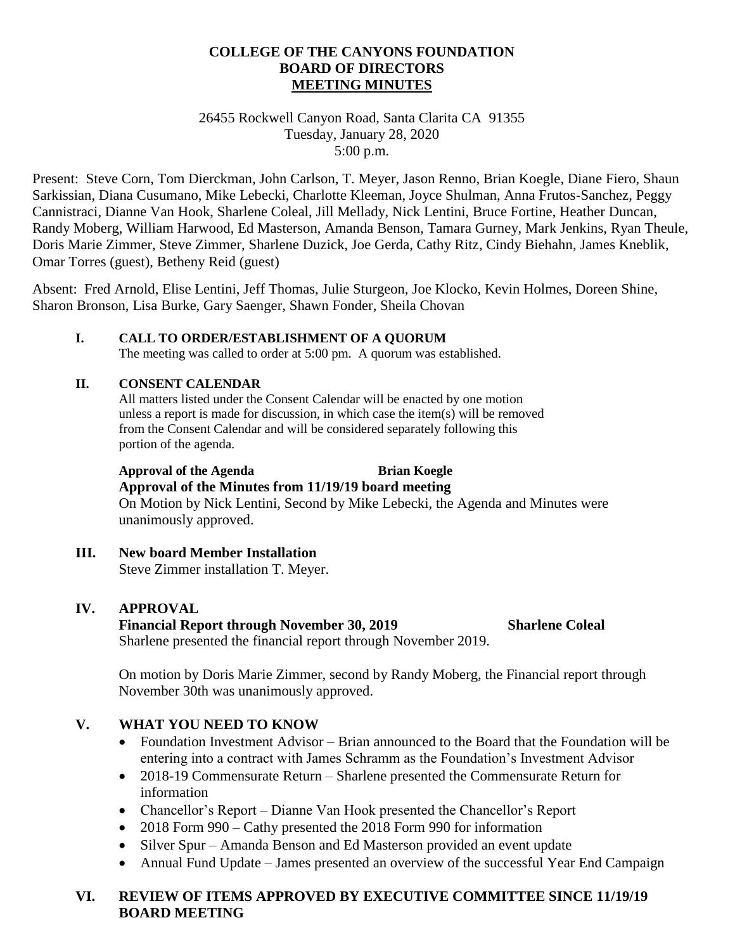#### **COLLEGE OF THE CANYONS FOUNDATION BOARD OF DIRECTORS MEETING MINUTES**

#### 26455 Rockwell Canyon Road, Santa Clarita CA 91355 Tuesday, January 28, 2020 5:00 p.m.

Present: Steve Corn, Tom Dierckman, John Carlson, T. Meyer, Jason Renno, Brian Koegle, Diane Fiero, Shaun Sarkissian, Diana Cusumano, Mike Lebecki, Charlotte Kleeman, Joyce Shulman, Anna Frutos-Sanchez, Peggy Cannistraci, Dianne Van Hook, Sharlene Coleal, Jill Mellady, Nick Lentini, Bruce Fortine, Heather Duncan, Randy Moberg, William Harwood, Ed Masterson, Amanda Benson, Tamara Gurney, Mark Jenkins, Ryan Theule, Doris Marie Zimmer, Steve Zimmer, Sharlene Duzick, Joe Gerda, Cathy Ritz, Cindy Biehahn, James Kneblik, Omar Torres (guest), Betheny Reid (guest)

Absent: Fred Arnold, Elise Lentini, Jeff Thomas, Julie Sturgeon, Joe Klocko, Kevin Holmes, Doreen Shine, Sharon Bronson, Lisa Burke, Gary Saenger, Shawn Fonder, Sheila Chovan

# **I. CALL TO ORDER/ESTABLISHMENT OF A QUORUM**

The meeting was called to order at 5:00 pm. A quorum was established.

### **II. CONSENT CALENDAR**

All matters listed under the Consent Calendar will be enacted by one motion unless a report is made for discussion, in which case the item(s) will be removed from the Consent Calendar and will be considered separately following this portion of the agenda.

**Approval of the Agenda Brian Koegle Approval of the Minutes from 11/19/19 board meeting** On Motion by Nick Lentini, Second by Mike Lebecki, the Agenda and Minutes were unanimously approved.

**III. New board Member Installation** Steve Zimmer installation T. Meyer.

### **IV. APPROVAL**

#### **Financial Report through November 30, 2019 Sharlene Coleal** Sharlene presented the financial report through November 2019.

On motion by Doris Marie Zimmer, second by Randy Moberg, the Financial report through November 30th was unanimously approved.

# **V. WHAT YOU NEED TO KNOW**

- Foundation Investment Advisor Brian announced to the Board that the Foundation will be entering into a contract with James Schramm as the Foundation's Investment Advisor
- 2018-19 Commensurate Return Sharlene presented the Commensurate Return for information
- Chancellor's Report Dianne Van Hook presented the Chancellor's Report
- 2018 Form 990 Cathy presented the 2018 Form 990 for information
- Silver Spur Amanda Benson and Ed Masterson provided an event update
- Annual Fund Update James presented an overview of the successful Year End Campaign

### **VI. REVIEW OF ITEMS APPROVED BY EXECUTIVE COMMITTEE SINCE 11/19/19 BOARD MEETING**